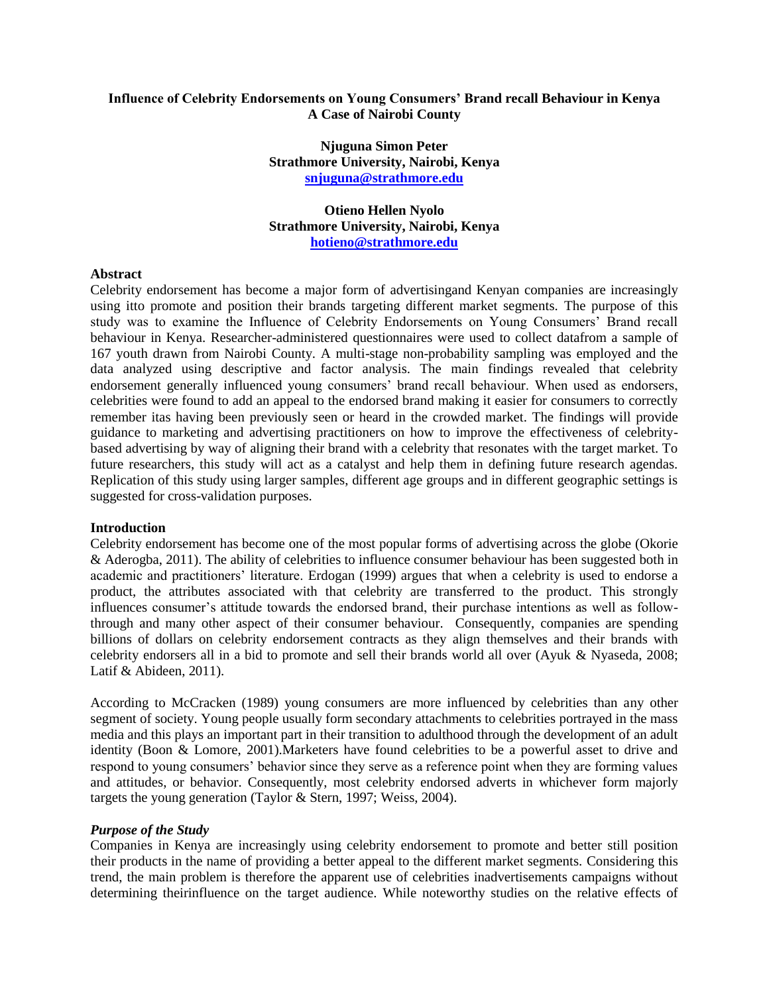### **Influence of Celebrity Endorsements on Young Consumers' Brand recall Behaviour in Kenya A Case of Nairobi County**

**Njuguna Simon Peter Strathmore University, Nairobi, Kenya [snjuguna@strathmore.edu](mailto:snjuguna@strathmore.edu)**

## **Otieno Hellen Nyolo Strathmore University, Nairobi, Kenya [hotieno@strathmore.edu](mailto:hotieno@strathmore.edu)**

### **Abstract**

Celebrity endorsement has become a major form of advertisingand Kenyan companies are increasingly using itto promote and position their brands targeting different market segments. The purpose of this study was to examine the Influence of Celebrity Endorsements on Young Consumers' Brand recall behaviour in Kenya. Researcher-administered questionnaires were used to collect datafrom a sample of 167 youth drawn from Nairobi County. A multi-stage non-probability sampling was employed and the data analyzed using descriptive and factor analysis. The main findings revealed that celebrity endorsement generally influenced young consumers' brand recall behaviour. When used as endorsers, celebrities were found to add an appeal to the endorsed brand making it easier for consumers to correctly remember itas having been previously seen or heard in the crowded market. The findings will provide guidance to marketing and advertising practitioners on how to improve the effectiveness of celebritybased advertising by way of aligning their brand with a celebrity that resonates with the target market. To future researchers, this study will act as a catalyst and help them in defining future research agendas. Replication of this study using larger samples, different age groups and in different geographic settings is suggested for cross-validation purposes.

### **Introduction**

Celebrity endorsement has become one of the most popular forms of advertising across the globe (Okorie & Aderogba, 2011). The ability of celebrities to influence consumer behaviour has been suggested both in academic and practitioners' literature. Erdogan (1999) argues that when a celebrity is used to endorse a product, the attributes associated with that celebrity are transferred to the product. This strongly influences consumer's attitude towards the endorsed brand, their purchase intentions as well as followthrough and many other aspect of their consumer behaviour. Consequently, companies are spending billions of dollars on celebrity endorsement contracts as they align themselves and their brands with celebrity endorsers all in a bid to promote and sell their brands world all over (Ayuk & Nyaseda, 2008; Latif & Abideen, 2011).

According to McCracken (1989) young consumers are more influenced by celebrities than any other segment of society. Young people usually form secondary attachments to celebrities portrayed in the mass media and this plays an important part in their transition to adulthood through the development of an adult identity (Boon & Lomore, 2001).Marketers have found celebrities to be a powerful asset to drive and respond to young consumers' behavior since they serve as a reference point when they are forming values and attitudes, or behavior. Consequently, most celebrity endorsed adverts in whichever form majorly targets the young generation (Taylor & Stern, 1997; Weiss, 2004).

### *Purpose of the Study*

Companies in Kenya are increasingly using celebrity endorsement to promote and better still position their products in the name of providing a better appeal to the different market segments. Considering this trend, the main problem is therefore the apparent use of celebrities inadvertisements campaigns without determining theirinfluence on the target audience. While noteworthy studies on the relative effects of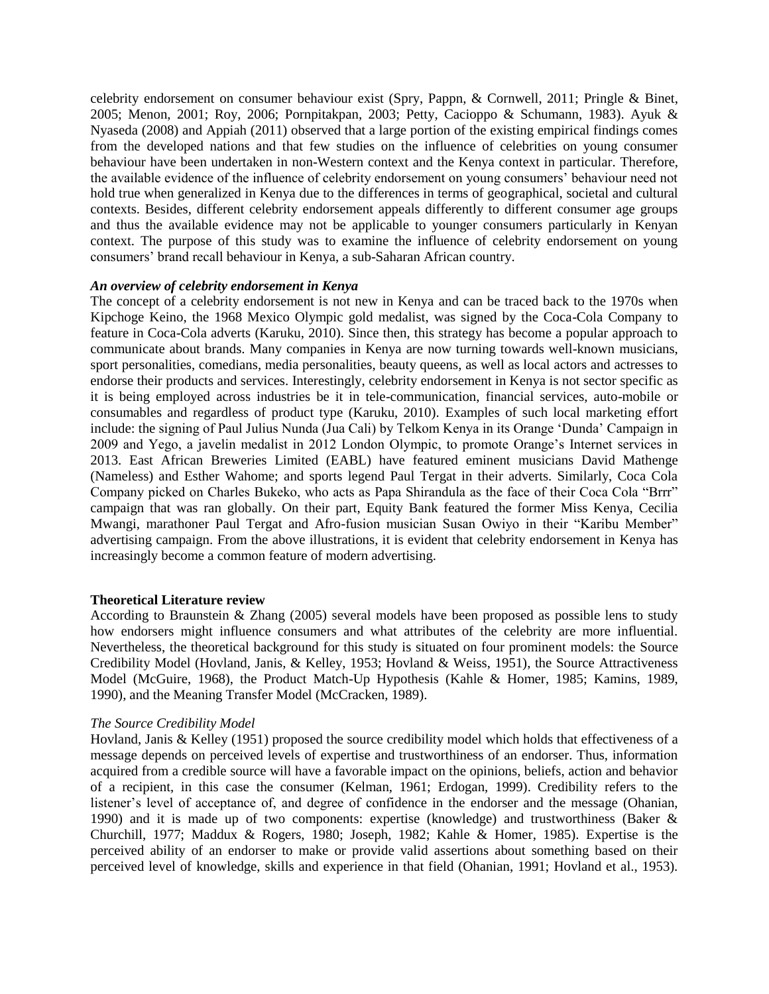celebrity endorsement on consumer behaviour exist (Spry, Pappn, & Cornwell, 2011; Pringle & Binet, 2005; Menon, 2001; Roy, 2006; Pornpitakpan, 2003; Petty, Cacioppo & Schumann, 1983). Ayuk & Nyaseda (2008) and Appiah (2011) observed that a large portion of the existing empirical findings comes from the developed nations and that few studies on the influence of celebrities on young consumer behaviour have been undertaken in non-Western context and the Kenya context in particular. Therefore, the available evidence of the influence of celebrity endorsement on young consumers' behaviour need not hold true when generalized in Kenya due to the differences in terms of geographical, societal and cultural contexts. Besides, different celebrity endorsement appeals differently to different consumer age groups and thus the available evidence may not be applicable to younger consumers particularly in Kenyan context. The purpose of this study was to examine the influence of celebrity endorsement on young consumers' brand recall behaviour in Kenya, a sub-Saharan African country.

### *An overview of celebrity endorsement in Kenya*

The concept of a celebrity endorsement is not new in Kenya and can be traced back to the 1970s when Kipchoge Keino, the 1968 Mexico Olympic gold medalist, was signed by the Coca-Cola Company to feature in Coca-Cola adverts (Karuku, 2010). Since then, this strategy has become a popular approach to communicate about brands. Many companies in Kenya are now turning towards well-known musicians, sport personalities, comedians, media personalities, beauty queens, as well as local actors and actresses to endorse their products and services. Interestingly, celebrity endorsement in Kenya is not sector specific as it is being employed across industries be it in tele-communication, financial services, auto-mobile or consumables and regardless of product type (Karuku, 2010). Examples of such local marketing effort include: the signing of Paul Julius Nunda (Jua Cali) by Telkom Kenya in its Orange 'Dunda' Campaign in 2009 and Yego, a javelin medalist in 2012 London Olympic, to promote Orange's Internet services in 2013. East African Breweries Limited (EABL) have featured eminent musicians David Mathenge (Nameless) and Esther Wahome; and sports legend Paul Tergat in their adverts. Similarly, Coca Cola Company picked on Charles Bukeko, who acts as Papa Shirandula as the face of their Coca Cola "Brrr" campaign that was ran globally. On their part, Equity Bank featured the former Miss Kenya, Cecilia Mwangi, marathoner Paul Tergat and Afro-fusion musician Susan Owiyo in their "Karibu Member" advertising campaign. From the above illustrations, it is evident that celebrity endorsement in Kenya has increasingly become a common feature of modern advertising.

### **Theoretical Literature review**

According to Braunstein & Zhang (2005) several models have been proposed as possible lens to study how endorsers might influence consumers and what attributes of the celebrity are more influential. Nevertheless, the theoretical background for this study is situated on four prominent models: the Source Credibility Model (Hovland, Janis, & Kelley, 1953; Hovland & Weiss, 1951), the Source Attractiveness Model (McGuire, 1968), the Product Match-Up Hypothesis (Kahle & Homer, 1985; Kamins, 1989, 1990), and the Meaning Transfer Model (McCracken, 1989).

### *The Source Credibility Model*

Hovland, Janis & Kelley (1951) proposed the source credibility model which holds that effectiveness of a message depends on perceived levels of expertise and trustworthiness of an endorser. Thus, information acquired from a credible source will have a favorable impact on the opinions, beliefs, action and behavior of a recipient, in this case the consumer (Kelman, 1961; Erdogan, 1999). Credibility refers to the listener's level of acceptance of, and degree of confidence in the endorser and the message (Ohanian, 1990) and it is made up of two components: expertise (knowledge) and trustworthiness (Baker & Churchill, 1977; Maddux & Rogers, 1980; Joseph, 1982; Kahle & Homer, 1985). Expertise is the perceived ability of an endorser to make or provide valid assertions about something based on their perceived level of knowledge, skills and experience in that field (Ohanian, 1991; Hovland et al., 1953).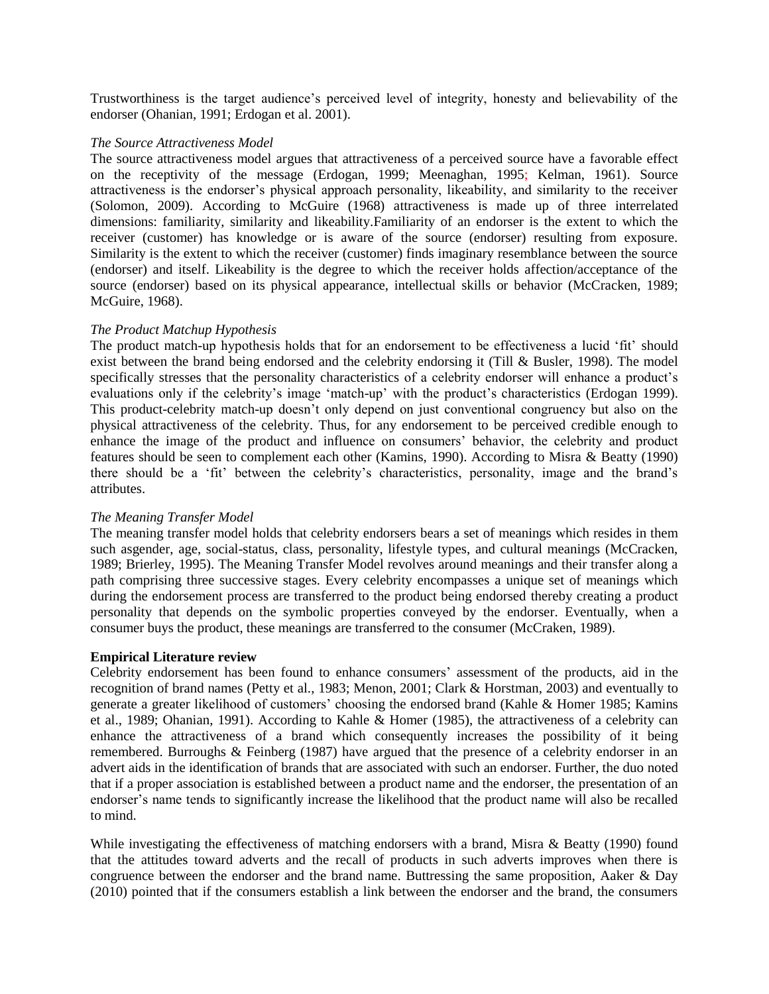Trustworthiness is the target audience's perceived level of integrity, honesty and believability of the endorser (Ohanian, 1991; Erdogan et al. 2001).

### *The Source Attractiveness Model*

The source attractiveness model argues that attractiveness of a perceived source have a favorable effect on the receptivity of the message (Erdogan, 1999; Meenaghan, 1995; Kelman, 1961). Source attractiveness is the endorser's physical approach personality, likeability, and similarity to the receiver (Solomon, 2009). According to McGuire (1968) attractiveness is made up of three interrelated dimensions: familiarity, similarity and likeability.Familiarity of an endorser is the extent to which the receiver (customer) has knowledge or is aware of the source (endorser) resulting from exposure. Similarity is the extent to which the receiver (customer) finds imaginary resemblance between the source (endorser) and itself. Likeability is the degree to which the receiver holds affection/acceptance of the source (endorser) based on its physical appearance, intellectual skills or behavior (McCracken, 1989; McGuire, 1968).

### *The Product Matchup Hypothesis*

The product match-up hypothesis holds that for an endorsement to be effectiveness a lucid 'fit' should exist between the brand being endorsed and the celebrity endorsing it (Till & Busler, 1998). The model specifically stresses that the personality characteristics of a celebrity endorser will enhance a product's evaluations only if the celebrity's image 'match-up' with the product's characteristics (Erdogan 1999). This product-celebrity match-up doesn't only depend on just conventional congruency but also on the physical attractiveness of the celebrity. Thus, for any endorsement to be perceived credible enough to enhance the image of the product and influence on consumers' behavior, the celebrity and product features should be seen to complement each other (Kamins, 1990). According to Misra & Beatty (1990) there should be a 'fit' between the celebrity's characteristics, personality, image and the brand's attributes.

### *The Meaning Transfer Model*

The meaning transfer model holds that celebrity endorsers bears a set of meanings which resides in them such asgender, age, social-status, class, personality, lifestyle types, and cultural meanings (McCracken, 1989; Brierley, 1995). The Meaning Transfer Model revolves around meanings and their transfer along a path comprising three successive stages. Every celebrity encompasses a unique set of meanings which during the endorsement process are transferred to the product being endorsed thereby creating a product personality that depends on the symbolic properties conveyed by the endorser. Eventually, when a consumer buys the product, these meanings are transferred to the consumer (McCraken, 1989).

### **Empirical Literature review**

Celebrity endorsement has been found to enhance consumers' assessment of the products, aid in the recognition of brand names (Petty et al., 1983; Menon, 2001; Clark & Horstman, 2003) and eventually to generate a greater likelihood of customers' choosing the endorsed brand (Kahle & Homer 1985; Kamins et al., 1989; Ohanian, 1991). According to Kahle & Homer (1985), the attractiveness of a celebrity can enhance the attractiveness of a brand which consequently increases the possibility of it being remembered. Burroughs & Feinberg (1987) have argued that the presence of a celebrity endorser in an advert aids in the identification of brands that are associated with such an endorser. Further, the duo noted that if a proper association is established between a product name and the endorser, the presentation of an endorser's name tends to significantly increase the likelihood that the product name will also be recalled to mind.

While investigating the effectiveness of matching endorsers with a brand, Misra & Beatty (1990) found that the attitudes toward adverts and the recall of products in such adverts improves when there is congruence between the endorser and the brand name. Buttressing the same proposition, Aaker & Day (2010) pointed that if the consumers establish a link between the endorser and the brand, the consumers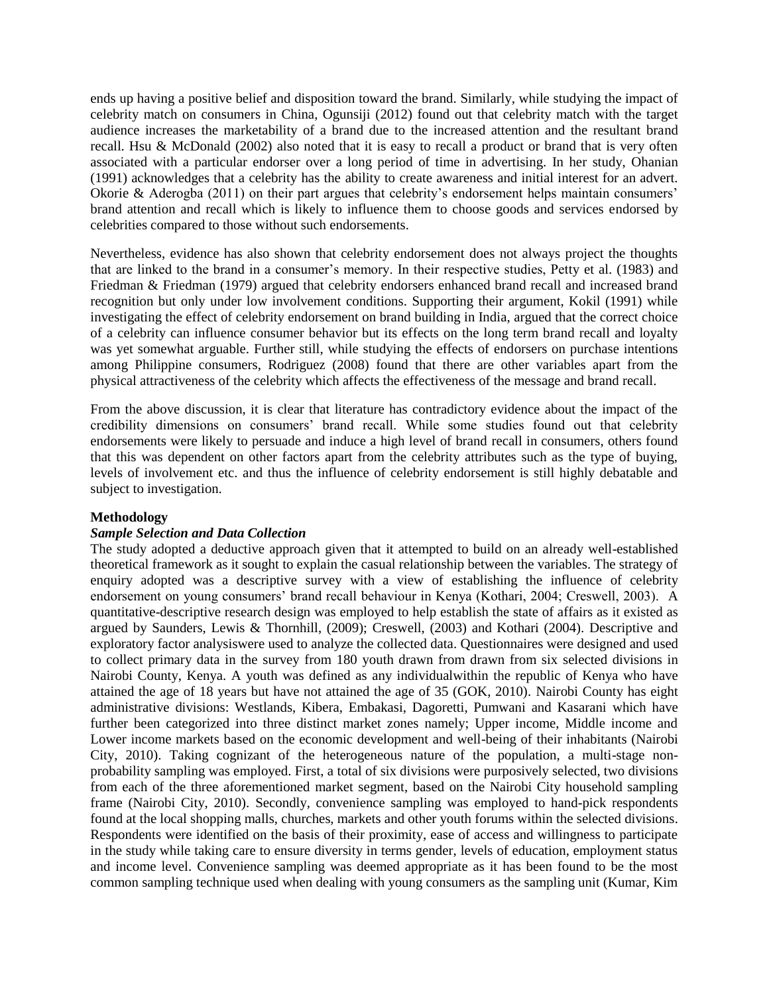ends up having a positive belief and disposition toward the brand. Similarly, while studying the impact of celebrity match on consumers in China, Ogunsiji (2012) found out that celebrity match with the target audience increases the marketability of a brand due to the increased attention and the resultant brand recall. Hsu & McDonald (2002) also noted that it is easy to recall a product or brand that is very often associated with a particular endorser over a long period of time in advertising. In her study, Ohanian (1991) acknowledges that a celebrity has the ability to create awareness and initial interest for an advert. Okorie & Aderogba (2011) on their part argues that celebrity's endorsement helps maintain consumers' brand attention and recall which is likely to influence them to choose goods and services endorsed by celebrities compared to those without such endorsements.

Nevertheless, evidence has also shown that celebrity endorsement does not always project the thoughts that are linked to the brand in a consumer's memory. In their respective studies, Petty et al. (1983) and Friedman & Friedman (1979) argued that celebrity endorsers enhanced brand recall and increased brand recognition but only under low involvement conditions. Supporting their argument, Kokil (1991) while investigating the effect of celebrity endorsement on brand building in India, argued that the correct choice of a celebrity can influence consumer behavior but its effects on the long term brand recall and loyalty was yet somewhat arguable. Further still, while studying the effects of endorsers on purchase intentions among Philippine consumers, Rodriguez (2008) found that there are other variables apart from the physical attractiveness of the celebrity which affects the effectiveness of the message and brand recall.

From the above discussion, it is clear that literature has contradictory evidence about the impact of the credibility dimensions on consumers' brand recall. While some studies found out that celebrity endorsements were likely to persuade and induce a high level of brand recall in consumers, others found that this was dependent on other factors apart from the celebrity attributes such as the type of buying, levels of involvement etc. and thus the influence of celebrity endorsement is still highly debatable and subject to investigation.

## **Methodology**

### *Sample Selection and Data Collection*

The study adopted a deductive approach given that it attempted to build on an already well-established theoretical framework as it sought to explain the casual relationship between the variables. The strategy of enquiry adopted was a descriptive survey with a view of establishing the influence of celebrity endorsement on young consumers' brand recall behaviour in Kenya (Kothari, 2004; Creswell, 2003). A quantitative-descriptive research design was employed to help establish the state of affairs as it existed as argued by Saunders, Lewis & Thornhill, (2009); Creswell, (2003) and Kothari (2004). Descriptive and exploratory factor analysiswere used to analyze the collected data. Questionnaires were designed and used to collect primary data in the survey from 180 youth drawn from drawn from six selected divisions in Nairobi County, Kenya. A youth was defined as any individualwithin the republic of Kenya who have attained the age of 18 years but have not attained the age of 35 (GOK, 2010). Nairobi County has eight administrative divisions: Westlands, Kibera, Embakasi, Dagoretti, Pumwani and Kasarani which have further been categorized into three distinct market zones namely; Upper income, Middle income and Lower income markets based on the economic development and well-being of their inhabitants (Nairobi City, 2010). Taking cognizant of the heterogeneous nature of the population, a multi-stage nonprobability sampling was employed. First, a total of six divisions were purposively selected, two divisions from each of the three aforementioned market segment, based on the Nairobi City household sampling frame (Nairobi City, 2010). Secondly, convenience sampling was employed to hand-pick respondents found at the local shopping malls, churches, markets and other youth forums within the selected divisions. Respondents were identified on the basis of their proximity, ease of access and willingness to participate in the study while taking care to ensure diversity in terms gender, levels of education, employment status and income level. Convenience sampling was deemed appropriate as it has been found to be the most common sampling technique used when dealing with young consumers as the sampling unit (Kumar, Kim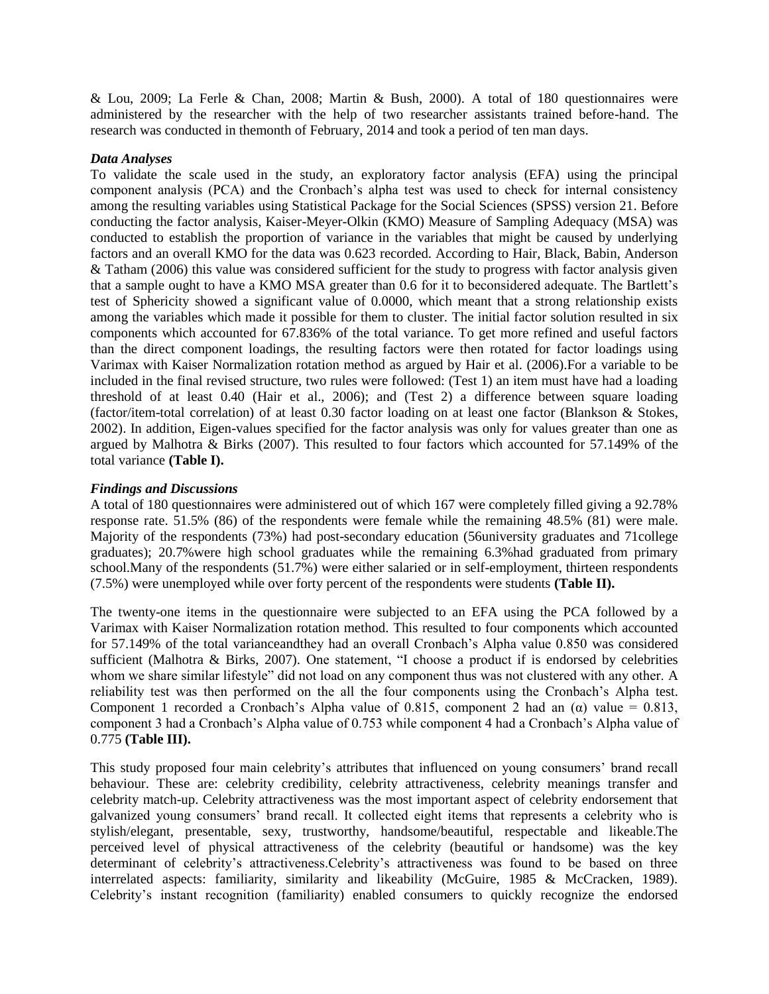& Lou, 2009; La Ferle & Chan, 2008; Martin & Bush, 2000). A total of 180 questionnaires were administered by the researcher with the help of two researcher assistants trained before-hand. The research was conducted in themonth of February, 2014 and took a period of ten man days.

### *Data Analyses*

To validate the scale used in the study, an exploratory factor analysis (EFA) using the principal component analysis (PCA) and the Cronbach's alpha test was used to check for internal consistency among the resulting variables using Statistical Package for the Social Sciences (SPSS) version 21. Before conducting the factor analysis, Kaiser-Meyer-Olkin (KMO) Measure of Sampling Adequacy (MSA) was conducted to establish the proportion of variance in the variables that might be caused by underlying factors and an overall KMO for the data was 0.623 recorded. According to Hair, Black, Babin, Anderson & Tatham (2006) this value was considered sufficient for the study to progress with factor analysis given that a sample ought to have a KMO MSA greater than 0.6 for it to beconsidered adequate. The Bartlett's test of Sphericity showed a significant value of 0.0000, which meant that a strong relationship exists among the variables which made it possible for them to cluster. The initial factor solution resulted in six components which accounted for 67.836% of the total variance. To get more refined and useful factors than the direct component loadings, the resulting factors were then rotated for factor loadings using Varimax with Kaiser Normalization rotation method as argued by Hair et al. (2006).For a variable to be included in the final revised structure, two rules were followed: (Test 1) an item must have had a loading threshold of at least 0.40 (Hair et al., 2006); and (Test 2) a difference between square loading (factor/item-total correlation) of at least 0.30 factor loading on at least one factor (Blankson & Stokes, 2002). In addition, Eigen-values specified for the factor analysis was only for values greater than one as argued by Malhotra & Birks (2007). This resulted to four factors which accounted for 57.149% of the total variance **(Table I).**

### *Findings and Discussions*

A total of 180 questionnaires were administered out of which 167 were completely filled giving a 92.78% response rate. 51.5% (86) of the respondents were female while the remaining 48.5% (81) were male. Majority of the respondents (73%) had post-secondary education (56university graduates and 71college graduates); 20.7%were high school graduates while the remaining 6.3%had graduated from primary school.Many of the respondents (51.7%) were either salaried or in self-employment, thirteen respondents (7.5%) were unemployed while over forty percent of the respondents were students **(Table II).**

The twenty-one items in the questionnaire were subjected to an EFA using the PCA followed by a Varimax with Kaiser Normalization rotation method. This resulted to four components which accounted for 57.149% of the total varianceandthey had an overall Cronbach's Alpha value 0.850 was considered sufficient (Malhotra & Birks, 2007). One statement, "I choose a product if is endorsed by celebrities whom we share similar lifestyle" did not load on any component thus was not clustered with any other. A reliability test was then performed on the all the four components using the Cronbach's Alpha test. Component 1 recorded a Cronbach's Alpha value of 0.815, component 2 had an  $(\alpha)$  value = 0.813, component 3 had a Cronbach's Alpha value of 0.753 while component 4 had a Cronbach's Alpha value of 0.775 **(Table III).**

This study proposed four main celebrity's attributes that influenced on young consumers' brand recall behaviour. These are: celebrity credibility, celebrity attractiveness, celebrity meanings transfer and celebrity match-up. Celebrity attractiveness was the most important aspect of celebrity endorsement that galvanized young consumers' brand recall. It collected eight items that represents a celebrity who is stylish/elegant, presentable, sexy, trustworthy, handsome/beautiful, respectable and likeable.The perceived level of physical attractiveness of the celebrity (beautiful or handsome) was the key determinant of celebrity's attractiveness.Celebrity's attractiveness was found to be based on three interrelated aspects: familiarity, similarity and likeability (McGuire, 1985 & McCracken, 1989). Celebrity's instant recognition (familiarity) enabled consumers to quickly recognize the endorsed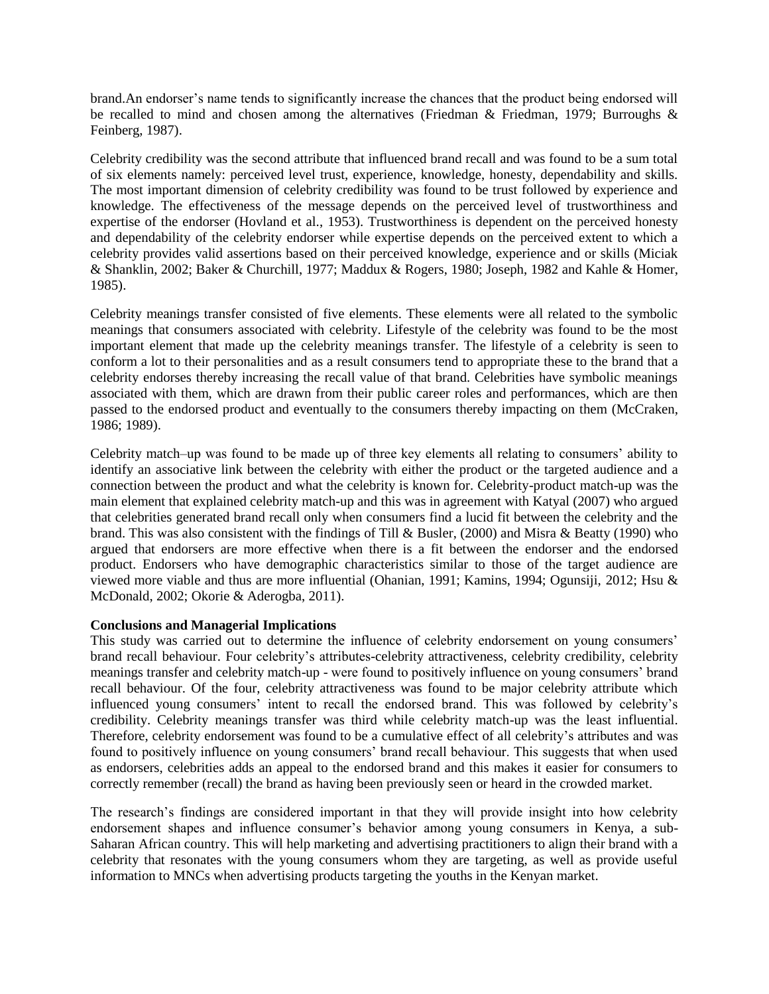brand.An endorser's name tends to significantly increase the chances that the product being endorsed will be recalled to mind and chosen among the alternatives (Friedman & Friedman, 1979; Burroughs & Feinberg, 1987).

Celebrity credibility was the second attribute that influenced brand recall and was found to be a sum total of six elements namely: perceived level trust, experience, knowledge, honesty, dependability and skills. The most important dimension of celebrity credibility was found to be trust followed by experience and knowledge. The effectiveness of the message depends on the perceived level of trustworthiness and expertise of the endorser (Hovland et al., 1953). Trustworthiness is dependent on the perceived honesty and dependability of the celebrity endorser while expertise depends on the perceived extent to which a celebrity provides valid assertions based on their perceived knowledge, experience and or skills (Miciak & Shanklin, 2002; Baker & Churchill, 1977; Maddux & Rogers, 1980; Joseph, 1982 and Kahle & Homer, 1985).

Celebrity meanings transfer consisted of five elements. These elements were all related to the symbolic meanings that consumers associated with celebrity. Lifestyle of the celebrity was found to be the most important element that made up the celebrity meanings transfer. The lifestyle of a celebrity is seen to conform a lot to their personalities and as a result consumers tend to appropriate these to the brand that a celebrity endorses thereby increasing the recall value of that brand. Celebrities have symbolic meanings associated with them, which are drawn from their public career roles and performances, which are then passed to the endorsed product and eventually to the consumers thereby impacting on them (McCraken, 1986; 1989).

Celebrity match–up was found to be made up of three key elements all relating to consumers' ability to identify an associative link between the celebrity with either the product or the targeted audience and a connection between the product and what the celebrity is known for. Celebrity-product match-up was the main element that explained celebrity match-up and this was in agreement with Katyal (2007) who argued that celebrities generated brand recall only when consumers find a lucid fit between the celebrity and the brand. This was also consistent with the findings of Till & Busler, (2000) and Misra & Beatty (1990) who argued that endorsers are more effective when there is a fit between the endorser and the endorsed product. Endorsers who have demographic characteristics similar to those of the target audience are viewed more viable and thus are more influential (Ohanian, 1991; Kamins, 1994; Ogunsiji, 2012; Hsu & McDonald, 2002; Okorie & Aderogba, 2011).

### **Conclusions and Managerial Implications**

This study was carried out to determine the influence of celebrity endorsement on young consumers' brand recall behaviour. Four celebrity's attributes-celebrity attractiveness, celebrity credibility, celebrity meanings transfer and celebrity match-up - were found to positively influence on young consumers' brand recall behaviour. Of the four, celebrity attractiveness was found to be major celebrity attribute which influenced young consumers' intent to recall the endorsed brand. This was followed by celebrity's credibility. Celebrity meanings transfer was third while celebrity match-up was the least influential. Therefore, celebrity endorsement was found to be a cumulative effect of all celebrity's attributes and was found to positively influence on young consumers' brand recall behaviour. This suggests that when used as endorsers, celebrities adds an appeal to the endorsed brand and this makes it easier for consumers to correctly remember (recall) the brand as having been previously seen or heard in the crowded market.

The research's findings are considered important in that they will provide insight into how celebrity endorsement shapes and influence consumer's behavior among young consumers in Kenya, a sub-Saharan African country. This will help marketing and advertising practitioners to align their brand with a celebrity that resonates with the young consumers whom they are targeting, as well as provide useful information to MNCs when advertising products targeting the youths in the Kenyan market.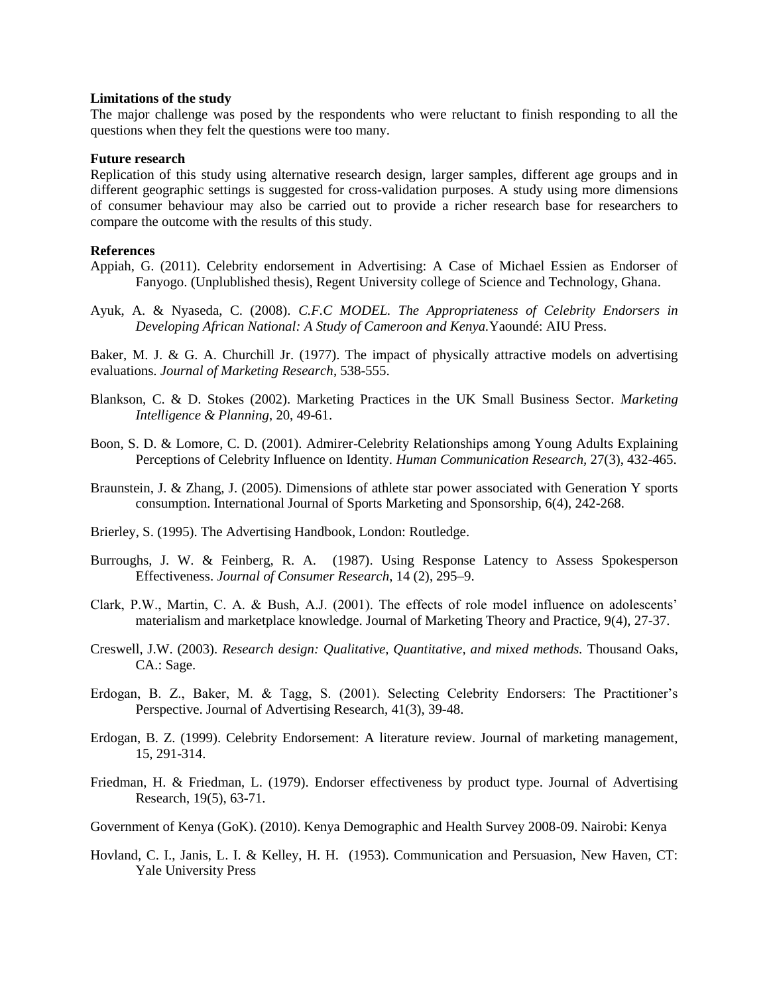#### **Limitations of the study**

The major challenge was posed by the respondents who were reluctant to finish responding to all the questions when they felt the questions were too many.

#### **Future research**

Replication of this study using alternative research design, larger samples, different age groups and in different geographic settings is suggested for cross-validation purposes. A study using more dimensions of consumer behaviour may also be carried out to provide a richer research base for researchers to compare the outcome with the results of this study.

### **References**

- Appiah, G. (2011). Celebrity endorsement in Advertising: A Case of Michael Essien as Endorser of Fanyogo. (Unplublished thesis), Regent University college of Science and Technology, Ghana.
- Ayuk, A. & Nyaseda, C. (2008). *C.F.C MODEL. The Appropriateness of Celebrity Endorsers in Developing African National: A Study of Cameroon and Kenya.*Yaoundé: AIU Press.

Baker, M. J. & G. A. Churchill Jr. (1977). The impact of physically attractive models on advertising evaluations. *Journal of Marketing Research*, 538-555.

- Blankson, C. & D. Stokes (2002). Marketing Practices in the UK Small Business Sector. *Marketing Intelligence & Planning*, 20, 49-61.
- Boon, S. D. & Lomore, C. D. (2001). Admirer-Celebrity Relationships among Young Adults Explaining Perceptions of Celebrity Influence on Identity. *Human Communication Research,* 27(3), 432-465.
- Braunstein, J. & Zhang, J. (2005). Dimensions of athlete star power associated with Generation Y sports consumption. International Journal of Sports Marketing and Sponsorship, 6(4), 242-268.
- Brierley, S. (1995). The Advertising Handbook, London: Routledge.
- Burroughs, J. W. & Feinberg, R. A. (1987). Using Response Latency to Assess Spokesperson Effectiveness. *Journal of Consumer Research*, 14 (2), 295–9.
- Clark, P.W., Martin, C. A. & Bush, A.J. (2001). The effects of role model influence on adolescents' materialism and marketplace knowledge. Journal of Marketing Theory and Practice, 9(4), 27-37.
- Creswell, J.W. (2003). *Research design: Qualitative, Quantitative, and mixed methods.* Thousand Oaks, CA.: Sage.
- Erdogan, B. Z., Baker, M. & Tagg, S. (2001). Selecting Celebrity Endorsers: The Practitioner's Perspective. Journal of Advertising Research, 41(3), 39-48.
- Erdogan, B. Z. (1999). Celebrity Endorsement: A literature review. Journal of marketing management, 15, 291-314.
- Friedman, H. & Friedman, L. (1979). Endorser effectiveness by product type. Journal of Advertising Research, 19(5), 63-71.
- Government of Kenya (GoK). (2010). Kenya Demographic and Health Survey 2008-09. Nairobi: Kenya
- Hovland, C. I., Janis, L. I. & Kelley, H. H. (1953). Communication and Persuasion, New Haven, CT: Yale University Press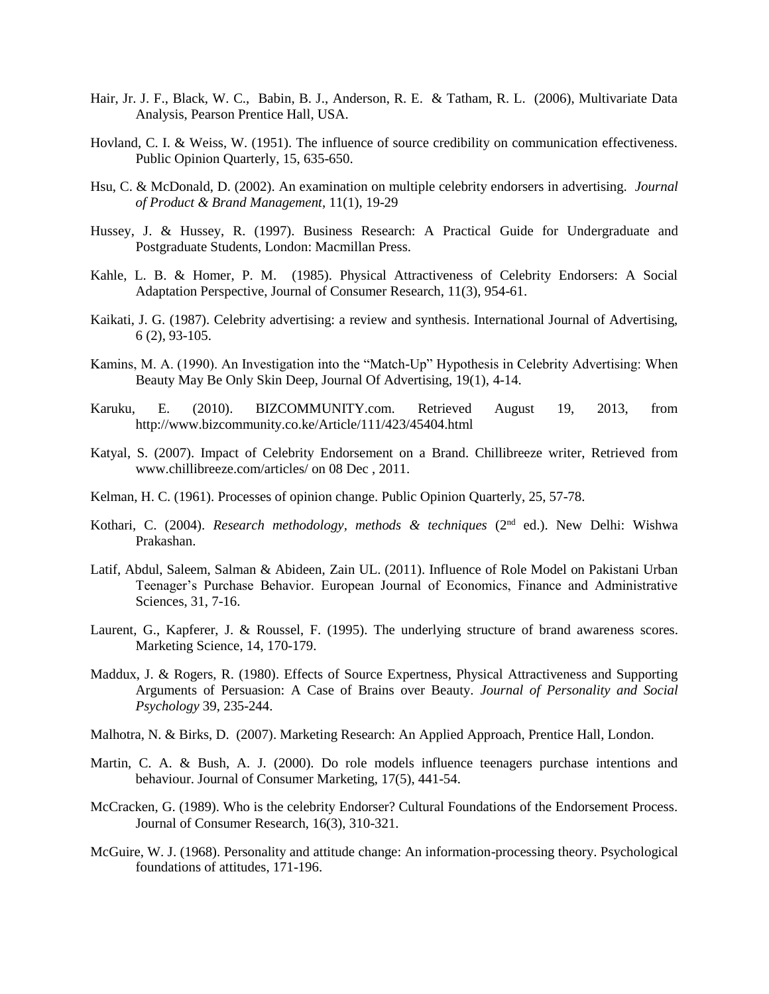- Hair, Jr. J. F., Black, W. C., Babin, B. J., Anderson, R. E. & Tatham, R. L. (2006), Multivariate Data Analysis, Pearson Prentice Hall, USA.
- Hovland, C. I. & Weiss, W. (1951). The influence of source credibility on communication effectiveness. Public Opinion Quarterly, 15, 635-650.
- Hsu, C. & McDonald, D. (2002). An examination on multiple celebrity endorsers in advertising. *Journal of Product & Brand Management,* 11(1), 19-29
- Hussey, J. & Hussey, R. (1997). Business Research: A Practical Guide for Undergraduate and Postgraduate Students, London: Macmillan Press.
- Kahle, L. B. & Homer, P. M. (1985). Physical Attractiveness of Celebrity Endorsers: A Social Adaptation Perspective, Journal of Consumer Research, 11(3), 954-61.
- Kaikati, J. G. (1987). Celebrity advertising: a review and synthesis. International Journal of Advertising, 6 (2), 93-105.
- Kamins, M. A. (1990). An Investigation into the "Match-Up" Hypothesis in Celebrity Advertising: When Beauty May Be Only Skin Deep, Journal Of Advertising, 19(1), 4-14.
- Karuku, E. (2010). BIZCOMMUNITY.com. Retrieved August 19, 2013, from http://www.bizcommunity.co.ke/Article/111/423/45404.html
- Katyal, S. (2007). Impact of Celebrity Endorsement on a Brand. Chillibreeze writer, Retrieved from www.chillibreeze.com/articles/ on 08 Dec , 2011.
- Kelman, H. C. (1961). Processes of opinion change. Public Opinion Quarterly, 25, 57-78.
- Kothari, C. (2004). *Research methodology, methods & techniques* (2nd ed.). New Delhi: Wishwa Prakashan.
- Latif, Abdul, Saleem, Salman & Abideen, Zain UL. (2011). Influence of Role Model on Pakistani Urban Teenager's Purchase Behavior. European Journal of Economics, Finance and Administrative Sciences, 31, 7-16.
- Laurent, G., Kapferer, J. & Roussel, F. (1995). The underlying structure of brand awareness scores. Marketing Science, 14, 170-179.
- Maddux, J. & Rogers, R. (1980). Effects of Source Expertness, Physical Attractiveness and Supporting Arguments of Persuasion: A Case of Brains over Beauty. *Journal of Personality and Social Psychology* 39, 235-244.
- Malhotra, N. & Birks, D. (2007). Marketing Research: An Applied Approach, Prentice Hall, London.
- Martin, C. A. & Bush, A. J. (2000). Do role models influence teenagers purchase intentions and behaviour. Journal of Consumer Marketing, 17(5), 441-54.
- McCracken, G. (1989). Who is the celebrity Endorser? Cultural Foundations of the Endorsement Process. Journal of Consumer Research, 16(3), 310-321.
- McGuire, W. J. (1968). Personality and attitude change: An information-processing theory. Psychological foundations of attitudes, 171-196.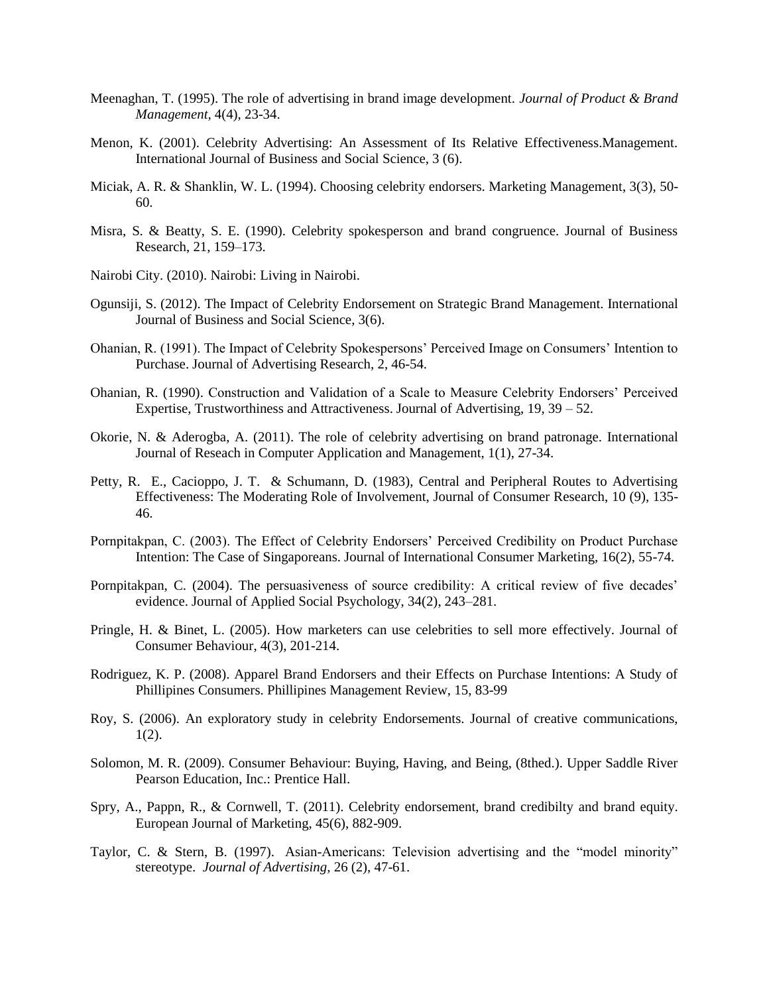- Meenaghan, T. (1995). The role of advertising in brand image development. *Journal of Product & Brand Management,* 4(4), 23-34.
- Menon, K. (2001). Celebrity Advertising: An Assessment of Its Relative Effectiveness.Management. International Journal of Business and Social Science, 3 (6).
- Miciak, A. R. & Shanklin, W. L. (1994). Choosing celebrity endorsers. Marketing Management, 3(3), 50- 60.
- Misra, S. & Beatty, S. E. (1990). Celebrity spokesperson and brand congruence. Journal of Business Research, 21, 159–173.
- Nairobi City. (2010). Nairobi: Living in Nairobi.
- Ogunsiji, S. (2012). The Impact of Celebrity Endorsement on Strategic Brand Management. International Journal of Business and Social Science, 3(6).
- Ohanian, R. (1991). The Impact of Celebrity Spokespersons' Perceived Image on Consumers' Intention to Purchase. Journal of Advertising Research, 2, 46-54.
- Ohanian, R. (1990). Construction and Validation of a Scale to Measure Celebrity Endorsers' Perceived Expertise, Trustworthiness and Attractiveness. Journal of Advertising, 19, 39 – 52.
- Okorie, N. & Aderogba, A. (2011). The role of celebrity advertising on brand patronage. International Journal of Reseach in Computer Application and Management, 1(1), 27-34.
- Petty, R. E., Cacioppo, J. T. & Schumann, D. (1983), Central and Peripheral Routes to Advertising Effectiveness: The Moderating Role of Involvement, Journal of Consumer Research, 10 (9), 135- 46.
- Pornpitakpan, C. (2003). The Effect of Celebrity Endorsers' Perceived Credibility on Product Purchase Intention: The Case of Singaporeans. Journal of International Consumer Marketing, 16(2), 55-74.
- Pornpitakpan, C. (2004). The persuasiveness of source credibility: A critical review of five decades' evidence. Journal of Applied Social Psychology, 34(2), 243–281.
- Pringle, H. & Binet, L. (2005). How marketers can use celebrities to sell more effectively. Journal of Consumer Behaviour, 4(3), 201-214.
- Rodriguez, K. P. (2008). Apparel Brand Endorsers and their Effects on Purchase Intentions: A Study of Phillipines Consumers. Phillipines Management Review, 15, 83-99
- Roy, S. (2006). An exploratory study in celebrity Endorsements. Journal of creative communications, 1(2).
- Solomon, M. R. (2009). Consumer Behaviour: Buying, Having, and Being, (8thed.). Upper Saddle River Pearson Education, Inc.: Prentice Hall.
- Spry, A., Pappn, R., & Cornwell, T. (2011). Celebrity endorsement, brand credibilty and brand equity. European Journal of Marketing, 45(6), 882-909.
- Taylor, C. & Stern, B. (1997). Asian-Americans: Television advertising and the "model minority" stereotype. *Journal of Advertising,* 26 (2), 47-61.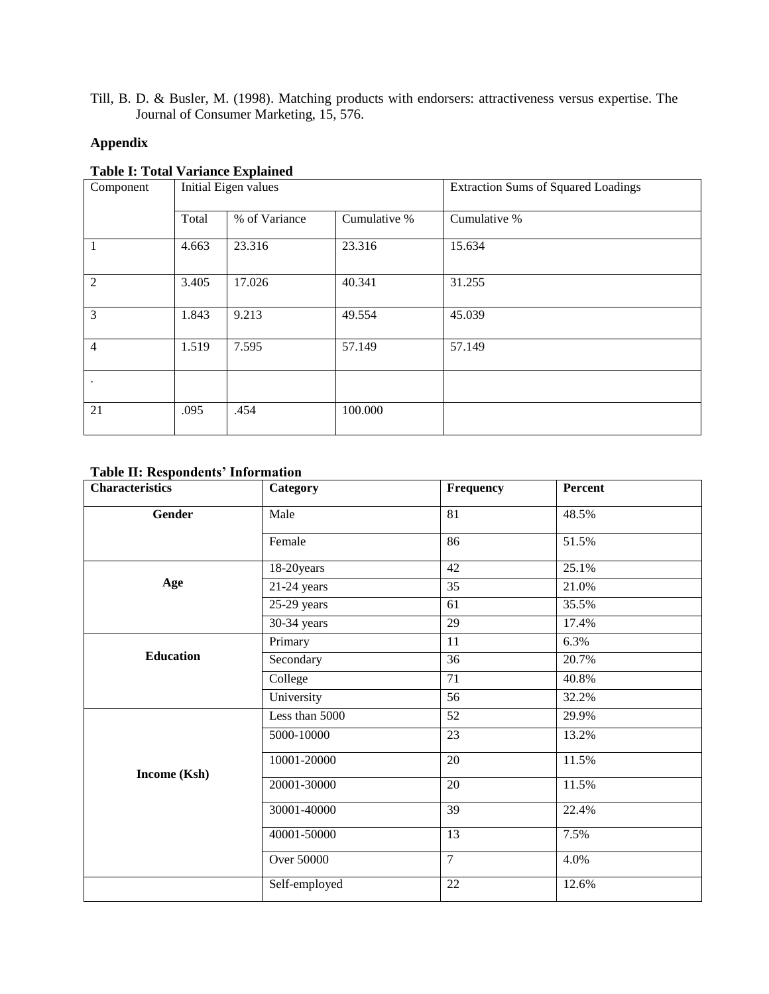Till, B. D. & Busler, M. (1998). Matching products with endorsers: attractiveness versus expertise. The Journal of Consumer Marketing, 15, 576.

# **Appendix**

### **Table I: Total Variance Explained**

| Component      | Initial Eigen values |               |              | <b>Extraction Sums of Squared Loadings</b> |  |
|----------------|----------------------|---------------|--------------|--------------------------------------------|--|
|                | Total                | % of Variance | Cumulative % | Cumulative %                               |  |
| 1              | 4.663                | 23.316        | 23.316       | 15.634                                     |  |
| $\overline{2}$ | 3.405                | 17.026        | 40.341       | 31.255                                     |  |
| $\overline{3}$ | 1.843                | 9.213         | 49.554       | 45.039                                     |  |
| $\overline{4}$ | 1.519                | 7.595         | 57.149       | 57.149                                     |  |
| $\bullet$      |                      |               |              |                                            |  |
| 21             | .095                 | .454          | 100.000      |                                            |  |

# **Table II: Respondents' Information**

| <b>Characteristics</b> | Category          | Frequency       | Percent |  |
|------------------------|-------------------|-----------------|---------|--|
| Gender                 | Male              | 81              | 48.5%   |  |
|                        | Female            | 86              | 51.5%   |  |
|                        | 18-20years        | 42              | 25.1%   |  |
| Age                    | $21-24$ years     | 35              | 21.0%   |  |
|                        | $25-29$ years     | 61              | 35.5%   |  |
|                        | 30-34 years       | 29              | 17.4%   |  |
|                        | Primary           | 11              | 6.3%    |  |
| <b>Education</b>       | Secondary         | 36              | 20.7%   |  |
|                        | College           | 71              | 40.8%   |  |
|                        | University        | 56              | 32.2%   |  |
|                        | Less than 5000    | $\overline{52}$ | 29.9%   |  |
|                        | 5000-10000        | 23              | 13.2%   |  |
| Income (Ksh)           | 10001-20000       | $20\,$          | 11.5%   |  |
|                        | 20001-30000       | 20              | 11.5%   |  |
|                        | 30001-40000       | $\overline{39}$ | 22.4%   |  |
|                        | 40001-50000       | 13              | 7.5%    |  |
|                        | <b>Over 50000</b> | $\overline{7}$  | 4.0%    |  |
|                        | Self-employed     | $22\,$          | 12.6%   |  |